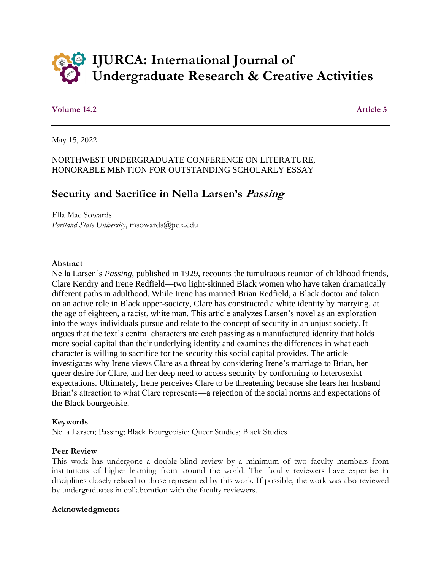

### **Volume 14.2** Article 5

May 15, 2022

## NORTHWEST UNDERGRADUATE CONFERENCE ON LITERATURE, HONORABLE MENTION FOR OUTSTANDING SCHOLARLY ESSAY

# **Security and Sacrifice in Nella Larsen's Passing**

Ella Mae Sowards *Portland State University*, msowards@pdx.edu

#### **Abstract**

Nella Larsen's *Passing*, published in 1929, recounts the tumultuous reunion of childhood friends, Clare Kendry and Irene Redfield—two light-skinned Black women who have taken dramatically different paths in adulthood. While Irene has married Brian Redfield, a Black doctor and taken on an active role in Black upper-society, Clare has constructed a white identity by marrying, at the age of eighteen, a racist, white man. This article analyzes Larsen's novel as an exploration into the ways individuals pursue and relate to the concept of security in an unjust society. It argues that the text's central characters are each passing as a manufactured identity that holds more social capital than their underlying identity and examines the differences in what each character is willing to sacrifice for the security this social capital provides. The article investigates why Irene views Clare as a threat by considering Irene's marriage to Brian, her queer desire for Clare, and her deep need to access security by conforming to heterosexist expectations. Ultimately, Irene perceives Clare to be threatening because she fears her husband Brian's attraction to what Clare represents—a rejection of the social norms and expectations of the Black bourgeoisie.

#### **Keywords**

Nella Larsen; Passing; Black Bourgeoisie; Queer Studies; Black Studies

#### **Peer Review**

This work has undergone a double-blind review by a minimum of two faculty members from institutions of higher learning from around the world. The faculty reviewers have expertise in disciplines closely related to those represented by this work. If possible, the work was also reviewed by undergraduates in collaboration with the faculty reviewers.

#### **Acknowledgments**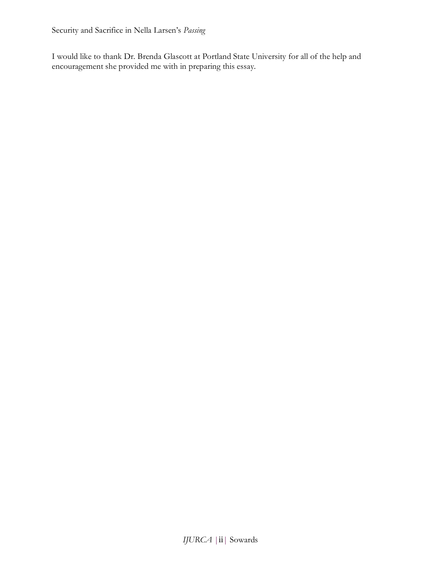I would like to thank Dr. Brenda Glascott at Portland State University for all of the help and encouragement she provided me with in preparing this essay.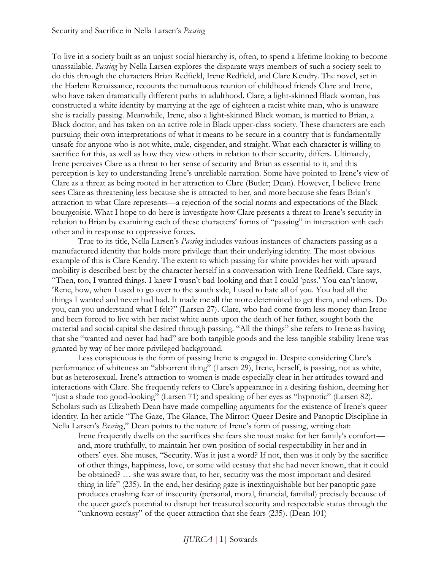To live in a society built as an unjust social hierarchy is, often, to spend a lifetime looking to become unassailable. *Passing* by Nella Larsen explores the disparate ways members of such a society seek to do this through the characters Brian Redfield, Irene Redfield, and Clare Kendry. The novel, set in the Harlem Renaissance, recounts the tumultuous reunion of childhood friends Clare and Irene, who have taken dramatically different paths in adulthood. Clare, a light-skinned Black woman, has constructed a white identity by marrying at the age of eighteen a racist white man, who is unaware she is racially passing. Meanwhile, Irene, also a light-skinned Black woman, is married to Brian, a Black doctor, and has taken on an active role in Black upper-class society. These characters are each pursuing their own interpretations of what it means to be secure in a country that is fundamentally unsafe for anyone who is not white, male, cisgender, and straight. What each character is willing to sacrifice for this, as well as how they view others in relation to their security, differs. Ultimately, Irene perceives Clare as a threat to her sense of security and Brian as essential to it, and this perception is key to understanding Irene's unreliable narration. Some have pointed to Irene's view of Clare as a threat as being rooted in her attraction to Clare (Butler; Dean). However, I believe Irene sees Clare as threatening less because she is attracted to her, and more because she fears Brian's attraction to what Clare represents—a rejection of the social norms and expectations of the Black bourgeoisie. What I hope to do here is investigate how Clare presents a threat to Irene's security in relation to Brian by examining each of these characters' forms of "passing" in interaction with each other and in response to oppressive forces.

True to its title, Nella Larsen's *Passing* includes various instances of characters passing as a manufactured identity that holds more privilege than their underlying identity. The most obvious example of this is Clare Kendry. The extent to which passing for white provides her with upward mobility is described best by the character herself in a conversation with Irene Redfield. Clare says, "Then, too, I wanted things. I knew I wasn't bad-looking and that I could 'pass.' You can't know, 'Rene, how, when I used to go over to the south side, I used to hate all of you. You had all the things I wanted and never had had. It made me all the more determined to get them, and others. Do you, can you understand what I felt?" (Larsen 27). Clare, who had come from less money than Irene and been forced to live with her racist white aunts upon the death of her father, sought both the material and social capital she desired through passing. "All the things" she refers to Irene as having that she "wanted and never had had" are both tangible goods and the less tangible stability Irene was granted by way of her more privileged background.

Less conspicuous is the form of passing Irene is engaged in. Despite considering Clare's performance of whiteness an "abhorrent thing" (Larsen 29), Irene, herself, is passing, not as white, but as heterosexual. Irene's attraction to women is made especially clear in her attitudes toward and interactions with Clare. She frequently refers to Clare's appearance in a desiring fashion, deeming her "just a shade too good-looking" (Larsen 71) and speaking of her eyes as "hypnotic" (Larsen 82). Scholars such as Elizabeth Dean have made compelling arguments for the existence of Irene's queer identity. In her article "The Gaze, The Glance, The Mirror: Queer Desire and Panoptic Discipline in Nella Larsen's *Passing*," Dean points to the nature of Irene's form of passing, writing that:

Irene frequently dwells on the sacrifices she fears she must make for her family's comfort and, more truthfully, to maintain her own position of social respectability in her and in others' eyes. She muses, "Security. Was it just a word? If not, then was it only by the sacrifice of other things, happiness, love, or some wild ecstasy that she had never known, that it could be obtained? … she was aware that, to her, security was the most important and desired thing in life" (235). In the end, her desiring gaze is inextinguishable but her panoptic gaze produces crushing fear of insecurity (personal, moral, financial, familial) precisely because of the queer gaze's potential to disrupt her treasured security and respectable status through the "unknown ecstasy" of the queer attraction that she fears (235). (Dean 101)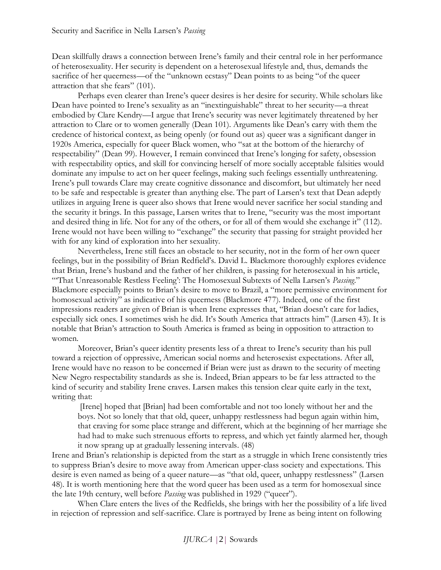Dean skillfully draws a connection between Irene's family and their central role in her performance of heterosexuality. Her security is dependent on a heterosexual lifestyle and, thus, demands the sacrifice of her queerness—of the "unknown ecstasy" Dean points to as being "of the queer attraction that she fears" (101).

Perhaps even clearer than Irene's queer desires is her desire for security. While scholars like Dean have pointed to Irene's sexuality as an "inextinguishable" threat to her security—a threat embodied by Clare Kendry—I argue that Irene's security was never legitimately threatened by her attraction to Clare or to women generally (Dean 101). Arguments like Dean's carry with them the credence of historical context, as being openly (or found out as) queer was a significant danger in 1920s America, especially for queer Black women, who "sat at the bottom of the hierarchy of respectability" (Dean 99). However, I remain convinced that Irene's longing for safety, obsession with respectability optics, and skill for convincing herself of more socially acceptable falsities would dominate any impulse to act on her queer feelings, making such feelings essentially unthreatening. Irene's pull towards Clare may create cognitive dissonance and discomfort, but ultimately her need to be safe and respectable is greater than anything else. The part of Larsen's text that Dean adeptly utilizes in arguing Irene is queer also shows that Irene would never sacrifice her social standing and the security it brings. In this passage, Larsen writes that to Irene, "security was the most important and desired thing in life. Not for any of the others, or for all of them would she exchange it" (112). Irene would not have been willing to "exchange" the security that passing for straight provided her with for any kind of exploration into her sexuality.

Nevertheless, Irene still faces an obstacle to her security, not in the form of her own queer feelings, but in the possibility of Brian Redfield's. David L. Blackmore thoroughly explores evidence that Brian, Irene's husband and the father of her children, is passing for heterosexual in his article, "'That Unreasonable Restless Feeling': The Homosexual Subtexts of Nella Larsen's *Passing*." Blackmore especially points to Brian's desire to move to Brazil, a "more permissive environment for homosexual activity" as indicative of his queerness (Blackmore 477). Indeed, one of the first impressions readers are given of Brian is when Irene expresses that, "Brian doesn't care for ladies, especially sick ones. I sometimes wish he did. It's South America that attracts him" (Larsen 43). It is notable that Brian's attraction to South America is framed as being in opposition to attraction to women.

Moreover, Brian's queer identity presents less of a threat to Irene's security than his pull toward a rejection of oppressive, American social norms and heterosexist expectations. After all, Irene would have no reason to be concerned if Brian were just as drawn to the security of meeting New Negro respectability standards as she is. Indeed, Brian appears to be far less attracted to the kind of security and stability Irene craves. Larsen makes this tension clear quite early in the text, writing that:

[Irene] hoped that [Brian] had been comfortable and not too lonely without her and the boys. Not so lonely that that old, queer, unhappy restlessness had begun again within him, that craving for some place strange and different, which at the beginning of her marriage she had had to make such strenuous efforts to repress, and which yet faintly alarmed her, though it now sprang up at gradually lessening intervals. (48)

Irene and Brian's relationship is depicted from the start as a struggle in which Irene consistently tries to suppress Brian's desire to move away from American upper-class society and expectations. This desire is even named as being of a queer nature—as "that old, queer, unhappy restlessness" (Larsen 48). It is worth mentioning here that the word queer has been used as a term for homosexual since the late 19th century, well before *Passing* was published in 1929 ("queer").

When Clare enters the lives of the Redfields, she brings with her the possibility of a life lived in rejection of repression and self-sacrifice. Clare is portrayed by Irene as being intent on following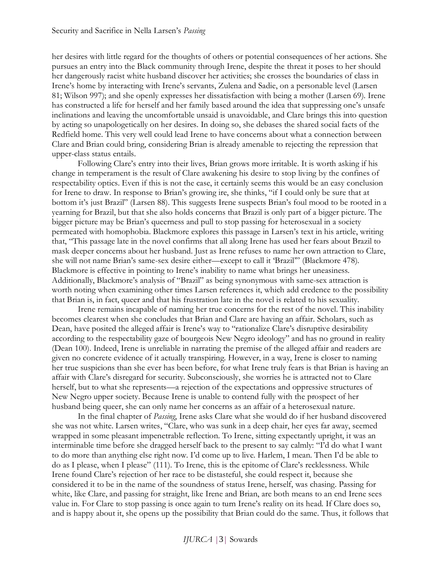her desires with little regard for the thoughts of others or potential consequences of her actions. She pursues an entry into the Black community through Irene, despite the threat it poses to her should her dangerously racist white husband discover her activities; she crosses the boundaries of class in Irene's home by interacting with Irene's servants, Zulena and Sadie, on a personable level (Larsen 81; Wilson 997); and she openly expresses her dissatisfaction with being a mother (Larsen 69). Irene has constructed a life for herself and her family based around the idea that suppressing one's unsafe inclinations and leaving the uncomfortable unsaid is unavoidable, and Clare brings this into question by acting so unapologetically on her desires. In doing so, she debases the shared social facts of the Redfield home. This very well could lead Irene to have concerns about what a connection between Clare and Brian could bring, considering Brian is already amenable to rejecting the repression that upper-class status entails.

Following Clare's entry into their lives, Brian grows more irritable. It is worth asking if his change in temperament is the result of Clare awakening his desire to stop living by the confines of respectability optics. Even if this is not the case, it certainly seems this would be an easy conclusion for Irene to draw. In response to Brian's growing ire, she thinks, "if I could only be sure that at bottom it's just Brazil" (Larsen 88). This suggests Irene suspects Brian's foul mood to be rooted in a yearning for Brazil, but that she also holds concerns that Brazil is only part of a bigger picture. The bigger picture may be Brian's queerness and pull to stop passing for heterosexual in a society permeated with homophobia. Blackmore explores this passage in Larsen's text in his article, writing that, "This passage late in the novel confirms that all along Irene has used her fears about Brazil to mask deeper concerns about her husband. Just as Irene refuses to name her own attraction to Clare, she will not name Brian's same-sex desire either—except to call it 'Brazil'" (Blackmore 478). Blackmore is effective in pointing to Irene's inability to name what brings her uneasiness. Additionally, Blackmore's analysis of "Brazil" as being synonymous with same-sex attraction is worth noting when examining other times Larsen references it, which add credence to the possibility that Brian is, in fact, queer and that his frustration late in the novel is related to his sexuality.

Irene remains incapable of naming her true concerns for the rest of the novel. This inability becomes clearest when she concludes that Brian and Clare are having an affair. Scholars, such as Dean, have posited the alleged affair is Irene's way to "rationalize Clare's disruptive desirability according to the respectability gaze of bourgeois New Negro ideology" and has no ground in reality (Dean 100). Indeed, Irene is unreliable in narrating the premise of the alleged affair and readers are given no concrete evidence of it actually transpiring. However, in a way, Irene is closer to naming her true suspicions than she ever has been before, for what Irene truly fears is that Brian is having an affair with Clare's disregard for security. Subconsciously, she worries he is attracted not to Clare herself, but to what she represents—a rejection of the expectations and oppressive structures of New Negro upper society. Because Irene is unable to contend fully with the prospect of her husband being queer, she can only name her concerns as an affair of a heterosexual nature.

In the final chapter of *Passing*, Irene asks Clare what she would do if her husband discovered she was not white. Larsen writes, "Clare, who was sunk in a deep chair, her eyes far away, seemed wrapped in some pleasant impenetrable reflection. To Irene, sitting expectantly upright, it was an interminable time before she dragged herself back to the present to say calmly: "I'd do what I want to do more than anything else right now. I'd come up to live. Harlem, I mean. Then I'd be able to do as I please, when I please" (111). To Irene, this is the epitome of Clare's recklessness. While Irene found Clare's rejection of her race to be distasteful, she could respect it, because she considered it to be in the name of the soundness of status Irene, herself, was chasing. Passing for white, like Clare, and passing for straight, like Irene and Brian, are both means to an end Irene sees value in. For Clare to stop passing is once again to turn Irene's reality on its head. If Clare does so, and is happy about it, she opens up the possibility that Brian could do the same. Thus, it follows that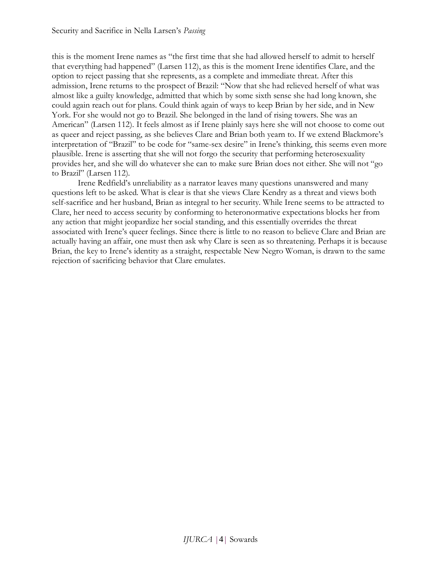this is the moment Irene names as "the first time that she had allowed herself to admit to herself that everything had happened" (Larsen 112), as this is the moment Irene identifies Clare, and the option to reject passing that she represents, as a complete and immediate threat. After this admission, Irene returns to the prospect of Brazil: "Now that she had relieved herself of what was almost like a guilty knowledge, admitted that which by some sixth sense she had long known, she could again reach out for plans. Could think again of ways to keep Brian by her side, and in New York. For she would not go to Brazil. She belonged in the land of rising towers. She was an American" (Larsen 112). It feels almost as if Irene plainly says here she will not choose to come out as queer and reject passing, as she believes Clare and Brian both yearn to. If we extend Blackmore's interpretation of "Brazil" to be code for "same-sex desire" in Irene's thinking, this seems even more plausible. Irene is asserting that she will not forgo the security that performing heterosexuality provides her, and she will do whatever she can to make sure Brian does not either. She will not "go to Brazil" (Larsen 112).

Irene Redfield's unreliability as a narrator leaves many questions unanswered and many questions left to be asked. What is clear is that she views Clare Kendry as a threat and views both self-sacrifice and her husband, Brian as integral to her security. While Irene seems to be attracted to Clare, her need to access security by conforming to heteronormative expectations blocks her from any action that might jeopardize her social standing, and this essentially overrides the threat associated with Irene's queer feelings. Since there is little to no reason to believe Clare and Brian are actually having an affair, one must then ask why Clare is seen as so threatening. Perhaps it is because Brian, the key to Irene's identity as a straight, respectable New Negro Woman, is drawn to the same rejection of sacrificing behavior that Clare emulates.